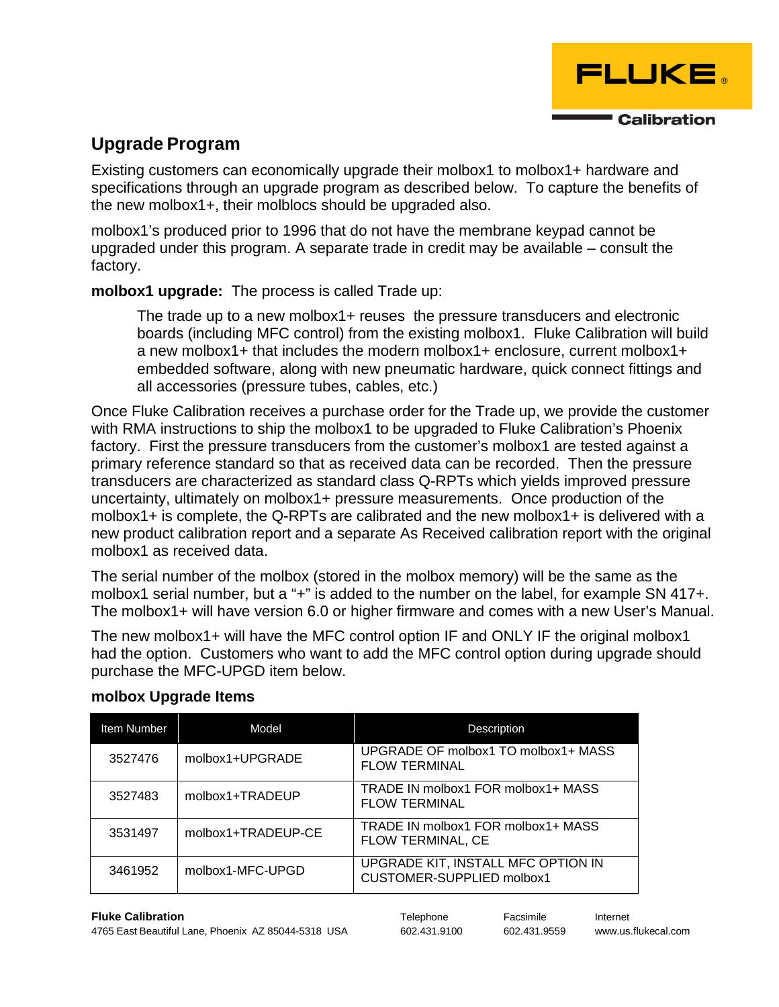

## **Upgrade Program**

Existing customers can economically upgrade their molbox1 to molbox1+ hardware and specifications through an upgrade program as described below. To capture the benefits of the new molbox1+, their molblocs should be upgraded also.

molbox1's produced prior to 1996 that do not have the membrane keypad cannot be upgraded under this program. A separate trade in credit may be available – consult the factory.

**molbox1 upgrade:** The process is called Trade up:

The trade up to a new molbox1+ reuses the pressure transducers and electronic boards (including MFC control) from the existing molbox1. Fluke Calibration will build a new molbox1+ that includes the modern molbox1+ enclosure, current molbox1+ embedded software, along with new pneumatic hardware, quick connect fittings and all accessories (pressure tubes, cables, etc.)

Once Fluke Calibration receives a purchase order for the Trade up, we provide the customer with RMA instructions to ship the molbox1 to be upgraded to Fluke Calibration's Phoenix factory. First the pressure transducers from the customer's molbox1 are tested against a primary reference standard so that as received data can be recorded. Then the pressure transducers are characterized as standard class Q-RPTs which yields improved pressure uncertainty, ultimately on molbox1+ pressure measurements. Once production of the molbox1+ is complete, the Q-RPTs are calibrated and the new molbox1+ is delivered with a new product calibration report and a separate As Received calibration report with the original molbox1 as received data.

The serial number of the molbox (stored in the molbox memory) will be the same as the molbox1 serial number, but a "+" is added to the number on the label, for example SN 417+. The molbox1+ will have version 6.0 or higher firmware and comes with a new User's Manual.

The new molbox1+ will have the MFC control option IF and ONLY IF the original molbox1 had the option. Customers who want to add the MFC control option during upgrade should purchase the MFC-UPGD item below.

| <b>Item Number</b> | Model              | Description                                                     |
|--------------------|--------------------|-----------------------------------------------------------------|
| 3527476            | molbox1+UPGRADE    | UPGRADE OF molbox1 TO molbox1+ MASS<br><b>FLOW TERMINAL</b>     |
| 3527483            | molbox1+TRADEUP    | TRADE IN molbox1 FOR molbox1+ MASS<br><b>FLOW TERMINAL</b>      |
| 3531497            | molbox1+TRADEUP-CE | TRADE IN molbox1 FOR molbox1+ MASS<br>FLOW TERMINAL, CE         |
| 3461952            | molbox1-MFC-UPGD   | UPGRADE KIT, INSTALL MFC OPTION IN<br>CUSTOMER-SUPPLIED molbox1 |

## **molbox Upgrade Items**

**Fluke Calibration** Telephone Facsimile Internet 4765 East Beautiful Lane, Phoenix AZ 85044-5318 USA 602.431.9100 602.431.9559 www.us.flukecal.com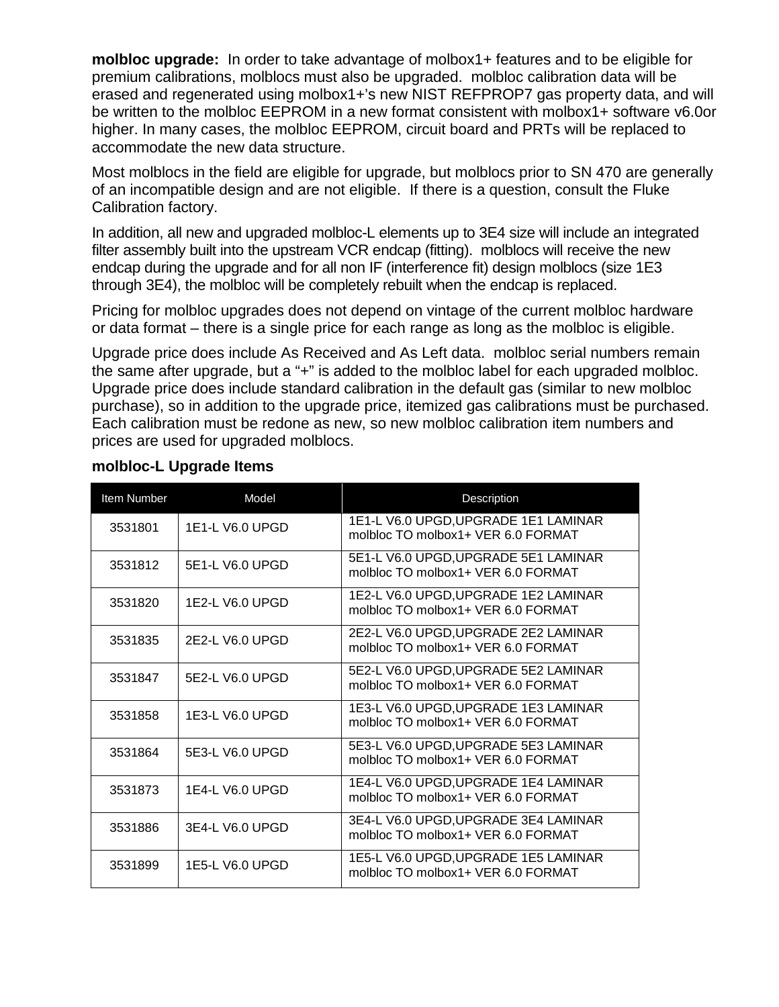**molbloc upgrade:** In order to take advantage of molbox1+ features and to be eligible for premium calibrations, molblocs must also be upgraded. molbloc calibration data will be erased and regenerated using molbox1+'s new NIST REFPROP7 gas property data, and will be written to the molbloc EEPROM in a new format consistent with molbox1+ software v6.0or higher. In many cases, the molbloc EEPROM, circuit board and PRTs will be replaced to accommodate the new data structure.

Most molblocs in the field are eligible for upgrade, but molblocs prior to SN 470 are generally of an incompatible design and are not eligible. If there is a question, consult the Fluke Calibration factory.

In addition, all new and upgraded molbloc-L elements up to 3E4 size will include an integrated filter assembly built into the upstream VCR endcap (fitting). molblocs will receive the new endcap during the upgrade and for all non IF (interference fit) design molblocs (size 1E3 through 3E4), the molbloc will be completely rebuilt when the endcap is replaced.

Pricing for molbloc upgrades does not depend on vintage of the current molbloc hardware or data format – there is a single price for each range as long as the molbloc is eligible.

Upgrade price does include As Received and As Left data. molbloc serial numbers remain the same after upgrade, but a "+" is added to the molbloc label for each upgraded molbloc. Upgrade price does include standard calibration in the default gas (similar to new molbloc purchase), so in addition to the upgrade price, itemized gas calibrations must be purchased. Each calibration must be redone as new, so new molbloc calibration item numbers and prices are used for upgraded molblocs.

| Item Number | Model           | <b>Description</b>                                                         |
|-------------|-----------------|----------------------------------------------------------------------------|
| 3531801     | 1E1-L V6.0 UPGD | 1E1-L V6.0 UPGD, UPGRADE 1E1 LAMINAR<br>molbloc TO molbox1+ VER 6.0 FORMAT |
| 3531812     | 5E1-L V6.0 UPGD | 5E1-L V6.0 UPGD, UPGRADE 5E1 LAMINAR<br>molbloc TO molbox1+ VER 6.0 FORMAT |
| 3531820     | 1E2-L V6.0 UPGD | 1E2-L V6.0 UPGD, UPGRADE 1E2 LAMINAR<br>molbloc TO molbox1+ VER 6.0 FORMAT |
| 3531835     | 2E2-L V6.0 UPGD | 2E2-L V6.0 UPGD, UPGRADE 2E2 LAMINAR<br>molbloc TO molbox1+ VER 6.0 FORMAT |
| 3531847     | 5E2-L V6.0 UPGD | 5E2-L V6.0 UPGD, UPGRADE 5E2 LAMINAR<br>molbloc TO molbox1+ VER 6.0 FORMAT |
| 3531858     | 1E3-L V6.0 UPGD | 1E3-L V6.0 UPGD, UPGRADE 1E3 LAMINAR<br>molbloc TO molbox1+ VER 6.0 FORMAT |
| 3531864     | 5E3-L V6.0 UPGD | 5E3-L V6.0 UPGD, UPGRADE 5E3 LAMINAR<br>molbloc TO molbox1+ VER 6.0 FORMAT |
| 3531873     | 1E4-L V6.0 UPGD | 1E4-L V6.0 UPGD, UPGRADE 1E4 LAMINAR<br>molbloc TO molbox1+ VER 6.0 FORMAT |
| 3531886     | 3E4-L V6.0 UPGD | 3E4-L V6.0 UPGD, UPGRADE 3E4 LAMINAR<br>molbloc TO molbox1+ VER 6.0 FORMAT |
| 3531899     | 1E5-L V6.0 UPGD | 1E5-L V6.0 UPGD, UPGRADE 1E5 LAMINAR<br>molbloc TO molbox1+ VER 6.0 FORMAT |

#### **molbloc-L Upgrade Items**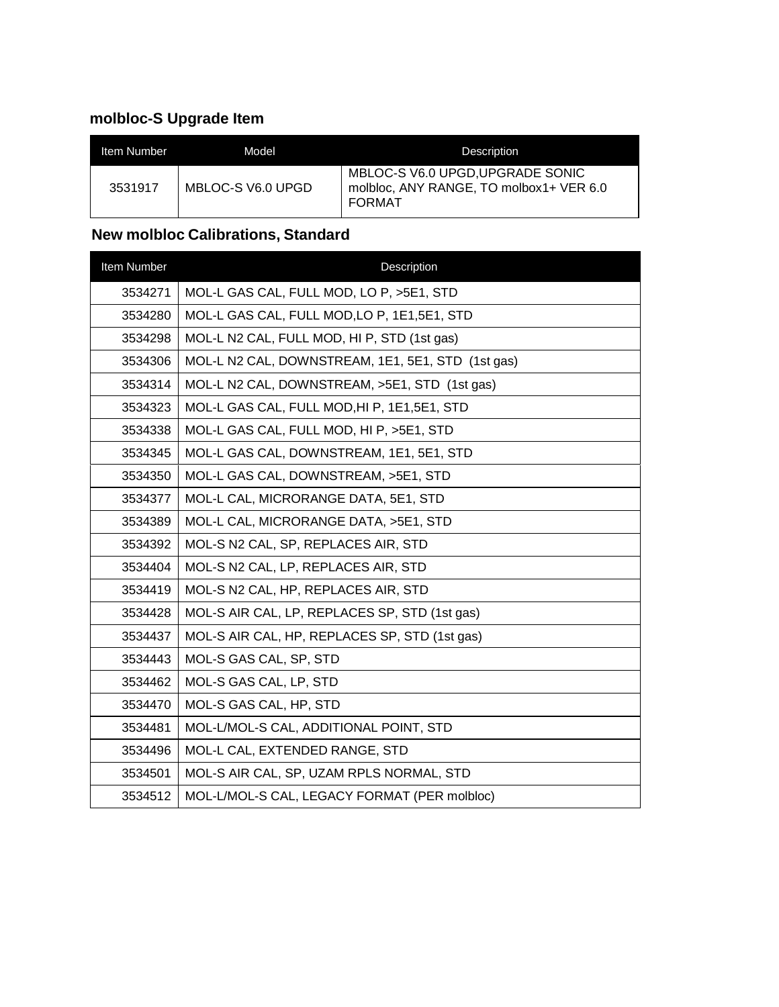# **molbloc-S Upgrade Item**

| Item Number | Model             | <b>Description</b>                                                                           |
|-------------|-------------------|----------------------------------------------------------------------------------------------|
| 3531917     | MBLOC-S V6.0 UPGD | MBLOC-S V6.0 UPGD, UPGRADE SONIC<br>molbloc, ANY RANGE, TO molbox1+ VER 6.0<br><b>FORMAT</b> |

# **New molbloc Calibrations, Standard**

| Item Number | Description                                       |
|-------------|---------------------------------------------------|
| 3534271     | MOL-L GAS CAL, FULL MOD, LO P, >5E1, STD          |
| 3534280     | MOL-L GAS CAL, FULL MOD, LO P, 1E1, 5E1, STD      |
| 3534298     | MOL-L N2 CAL, FULL MOD, HI P, STD (1st gas)       |
| 3534306     | MOL-L N2 CAL, DOWNSTREAM, 1E1, 5E1, STD (1st gas) |
| 3534314     | MOL-L N2 CAL, DOWNSTREAM, >5E1, STD (1st gas)     |
| 3534323     | MOL-L GAS CAL, FULL MOD, HI P, 1E1, 5E1, STD      |
| 3534338     | MOL-L GAS CAL, FULL MOD, HI P, >5E1, STD          |
| 3534345     | MOL-L GAS CAL, DOWNSTREAM, 1E1, 5E1, STD          |
| 3534350     | MOL-L GAS CAL, DOWNSTREAM, >5E1, STD              |
| 3534377     | MOL-L CAL, MICRORANGE DATA, 5E1, STD              |
| 3534389     | MOL-L CAL, MICRORANGE DATA, >5E1, STD             |
| 3534392     | MOL-S N2 CAL, SP, REPLACES AIR, STD               |
| 3534404     | MOL-S N2 CAL, LP, REPLACES AIR, STD               |
| 3534419     | MOL-S N2 CAL, HP, REPLACES AIR, STD               |
| 3534428     | MOL-S AIR CAL, LP, REPLACES SP, STD (1st gas)     |
| 3534437     | MOL-S AIR CAL, HP, REPLACES SP, STD (1st gas)     |
| 3534443     | MOL-S GAS CAL, SP, STD                            |
| 3534462     | MOL-S GAS CAL, LP, STD                            |
| 3534470     | MOL-S GAS CAL, HP, STD                            |
| 3534481     | MOL-L/MOL-S CAL, ADDITIONAL POINT, STD            |
| 3534496     | MOL-L CAL, EXTENDED RANGE, STD                    |
| 3534501     | MOL-S AIR CAL, SP, UZAM RPLS NORMAL, STD          |
| 3534512     | MOL-L/MOL-S CAL, LEGACY FORMAT (PER molbloc)      |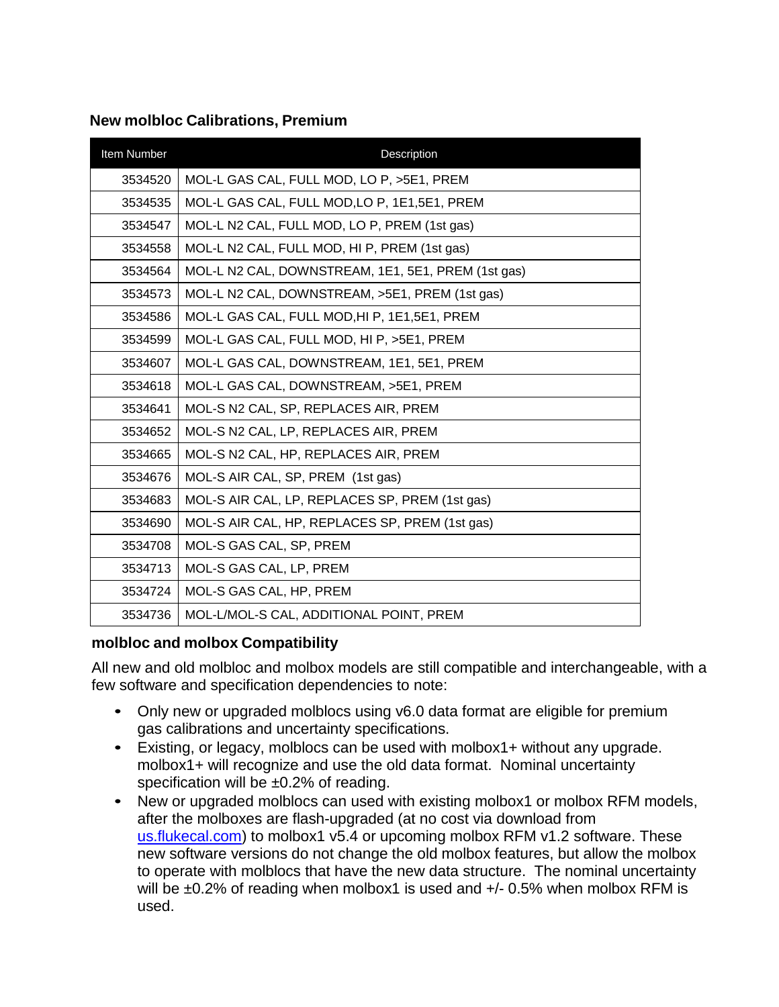## **New molbloc Calibrations, Premium**

| Item Number | Description                                        |
|-------------|----------------------------------------------------|
| 3534520     | MOL-L GAS CAL, FULL MOD, LO P, >5E1, PREM          |
| 3534535     | MOL-L GAS CAL, FULL MOD, LO P, 1E1, 5E1, PREM      |
| 3534547     | MOL-L N2 CAL, FULL MOD, LO P, PREM (1st gas)       |
| 3534558     | MOL-L N2 CAL, FULL MOD, HI P, PREM (1st gas)       |
| 3534564     | MOL-L N2 CAL, DOWNSTREAM, 1E1, 5E1, PREM (1st gas) |
| 3534573     | MOL-L N2 CAL, DOWNSTREAM, >5E1, PREM (1st gas)     |
| 3534586     | MOL-L GAS CAL, FULL MOD, HI P, 1E1, 5E1, PREM      |
| 3534599     | MOL-L GAS CAL, FULL MOD, HI P, >5E1, PREM          |
| 3534607     | MOL-L GAS CAL, DOWNSTREAM, 1E1, 5E1, PREM          |
| 3534618     | MOL-L GAS CAL, DOWNSTREAM, >5E1, PREM              |
| 3534641     | MOL-S N2 CAL, SP, REPLACES AIR, PREM               |
| 3534652     | MOL-S N2 CAL, LP, REPLACES AIR, PREM               |
| 3534665     | MOL-S N2 CAL, HP, REPLACES AIR, PREM               |
| 3534676     | MOL-S AIR CAL, SP, PREM (1st gas)                  |
| 3534683     | MOL-S AIR CAL, LP, REPLACES SP, PREM (1st gas)     |
| 3534690     | MOL-S AIR CAL, HP, REPLACES SP, PREM (1st gas)     |
| 3534708     | MOL-S GAS CAL, SP, PREM                            |
| 3534713     | MOL-S GAS CAL, LP, PREM                            |
| 3534724     | MOL-S GAS CAL, HP, PREM                            |
| 3534736     | MOL-L/MOL-S CAL, ADDITIONAL POINT, PREM            |

### **molbloc and molbox Compatibility**

All new and old molbloc and molbox models are still compatible and interchangeable, with a few software and specification dependencies to note:

- Only new or upgraded molblocs using v6.0 data format are eligible for premium gas calibrations and uncertainty specifications.
- Existing, or legacy, molblocs can be used with molbox1+ without any upgrade. molbox1+ will recognize and use the old data format. Nominal uncertainty specification will be  $\pm 0.2\%$  of reading.
- New or upgraded molblocs can used with existing molbox1 or molbox RFM models, after the molboxes are flash-upgraded (at no cost via download from [us.flukecal.com\)](http://us.flukecal.com/products/calibration-software/flow-calibration-software) to molbox1 v5.4 or upcoming molbox RFM v1.2 software. These new software versions do not change the old molbox features, but allow the molbox to operate with molblocs that have the new data structure. The nominal uncertainty will be  $\pm 0.2\%$  of reading when molbox1 is used and  $+/- 0.5\%$  when molbox RFM is used.